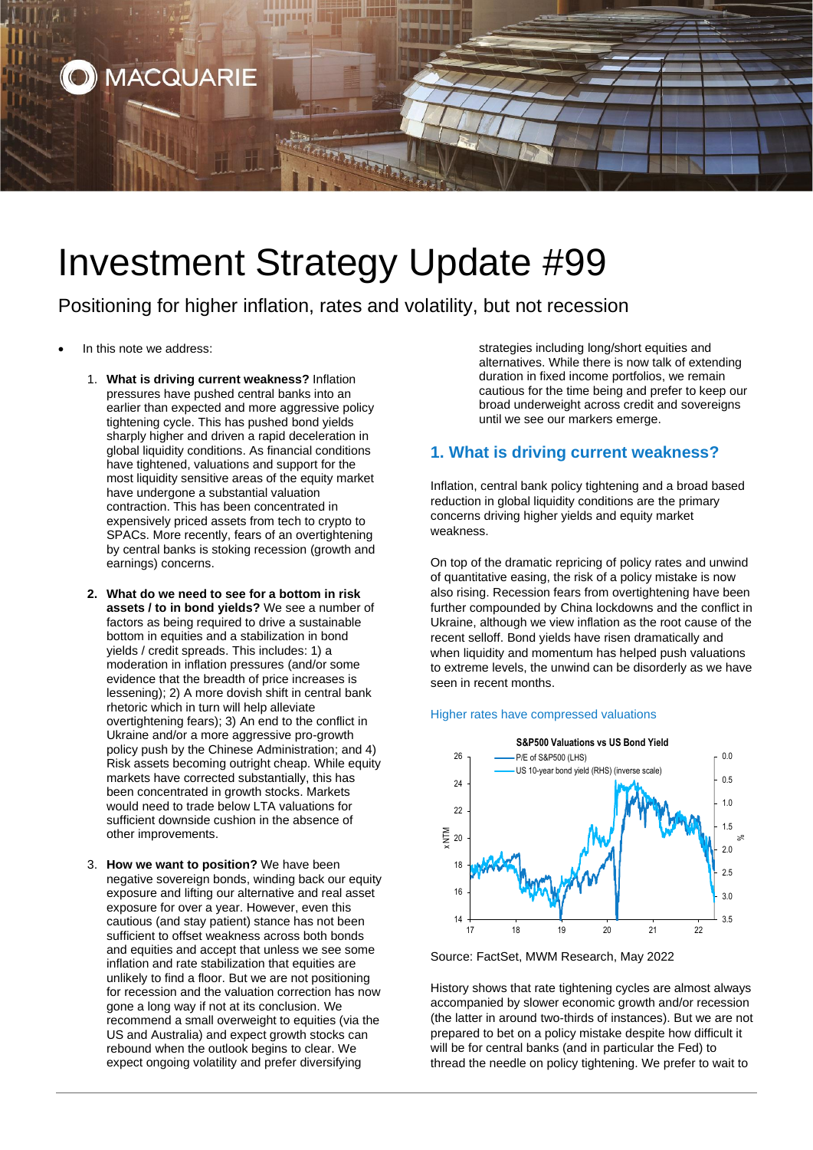

# Investment Strategy Update #99

Positioning for higher inflation, rates and volatility, but not recession

- In this note we address:
	- 1. **What is driving current weakness?** Inflation pressures have pushed central banks into an earlier than expected and more aggressive policy tightening cycle. This has pushed bond yields sharply higher and driven a rapid deceleration in global liquidity conditions. As financial conditions have tightened, valuations and support for the most liquidity sensitive areas of the equity market have undergone a substantial valuation contraction. This has been concentrated in expensively priced assets from tech to crypto to SPACs. More recently, fears of an overtightening by central banks is stoking recession (growth and earnings) concerns.
	- **2. What do we need to see for a bottom in risk assets / to in bond yields?** We see a number of factors as being required to drive a sustainable bottom in equities and a stabilization in bond yields / credit spreads. This includes: 1) a moderation in inflation pressures (and/or some evidence that the breadth of price increases is lessening); 2) A more dovish shift in central bank rhetoric which in turn will help alleviate overtightening fears); 3) An end to the conflict in Ukraine and/or a more aggressive pro-growth policy push by the Chinese Administration; and 4) Risk assets becoming outright cheap. While equity markets have corrected substantially, this has been concentrated in growth stocks. Markets would need to trade below LTA valuations for sufficient downside cushion in the absence of other improvements.
	- 3. **How we want to position?** We have been negative sovereign bonds, winding back our equity exposure and lifting our alternative and real asset exposure for over a year. However, even this cautious (and stay patient) stance has not been sufficient to offset weakness across both bonds and equities and accept that unless we see some inflation and rate stabilization that equities are unlikely to find a floor. But we are not positioning for recession and the valuation correction has now gone a long way if not at its conclusion. We recommend a small overweight to equities (via the US and Australia) and expect growth stocks can rebound when the outlook begins to clear. We expect ongoing volatility and prefer diversifying

strategies including long/short equities and alternatives. While there is now talk of extending duration in fixed income portfolios, we remain cautious for the time being and prefer to keep our broad underweight across credit and sovereigns until we see our markers emerge.

## **1. What is driving current weakness?**

Inflation, central bank policy tightening and a broad based reduction in global liquidity conditions are the primary concerns driving higher yields and equity market weakness.

On top of the dramatic repricing of policy rates and unwind of quantitative easing, the risk of a policy mistake is now also rising. Recession fears from overtightening have been further compounded by China lockdowns and the conflict in Ukraine, although we view inflation as the root cause of the recent selloff. Bond yields have risen dramatically and when liquidity and momentum has helped push valuations to extreme levels, the unwind can be disorderly as we have seen in recent months.

## Higher rates have compressed valuations



Source: FactSet, MWM Research, May 2022

History shows that rate tightening cycles are almost always accompanied by slower economic growth and/or recession (the latter in around two-thirds of instances). But we are not prepared to bet on a policy mistake despite how difficult it will be for central banks (and in particular the Fed) to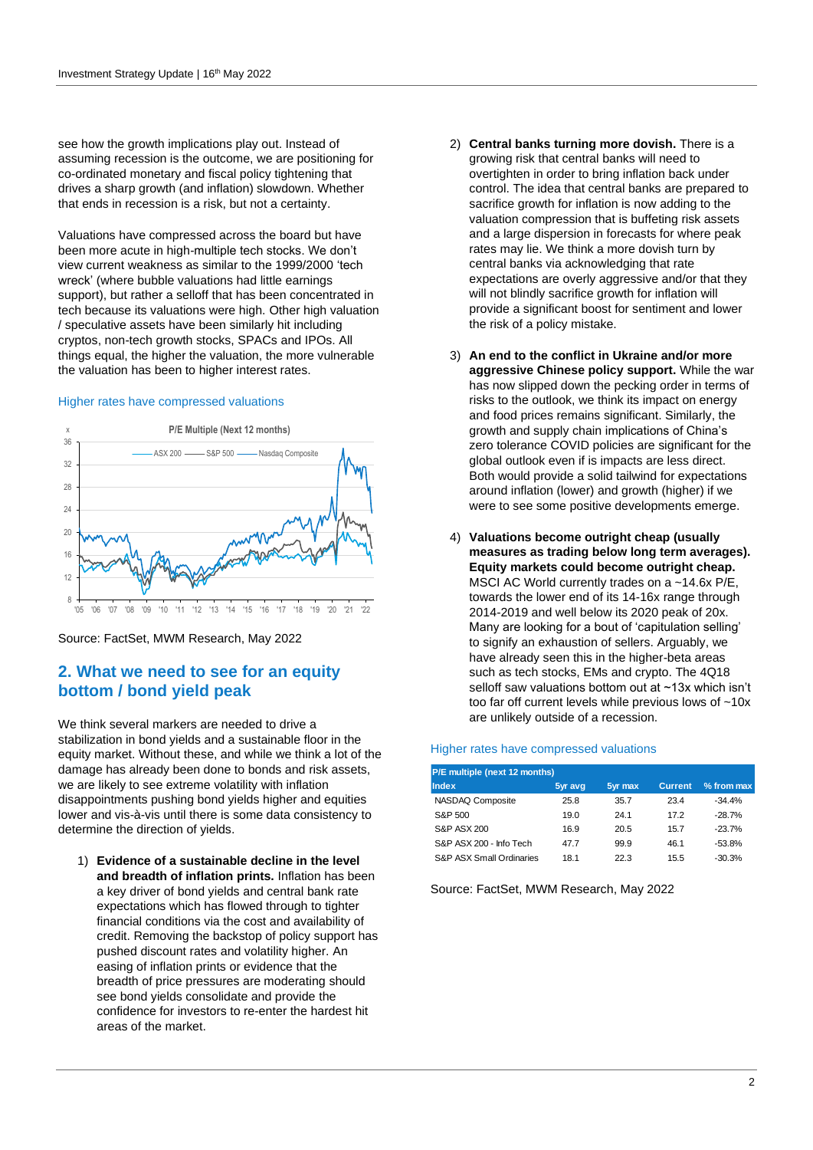see how the growth implications play out. Instead of assuming recession is the outcome, we are positioning for co-ordinated monetary and fiscal policy tightening that drives a sharp growth (and inflation) slowdown. Whether that ends in recession is a risk, but not a certainty.

Valuations have compressed across the board but have been more acute in high-multiple tech stocks. We don't view current weakness as similar to the 1999/2000 'tech wreck' (where bubble valuations had little earnings support), but rather a selloff that has been concentrated in tech because its valuations were high. Other high valuation / speculative assets have been similarly hit including cryptos, non-tech growth stocks, SPACs and IPOs. All things equal, the higher the valuation, the more vulnerable the valuation has been to higher interest rates.

### Higher rates have compressed valuations



Source: FactSet, MWM Research, May 2022

## **2. What we need to see for an equity bottom / bond yield peak**

We think several markers are needed to drive a stabilization in bond yields and a sustainable floor in the equity market. Without these, and while we think a lot of the damage has already been done to bonds and risk assets, we are likely to see extreme volatility with inflation disappointments pushing bond yields higher and equities lower and vis-à-vis until there is some data consistency to determine the direction of yields.

1) **Evidence of a sustainable decline in the level and breadth of inflation prints.** Inflation has been a key driver of bond yields and central bank rate expectations which has flowed through to tighter financial conditions via the cost and availability of credit. Removing the backstop of policy support has pushed discount rates and volatility higher. An easing of inflation prints or evidence that the breadth of price pressures are moderating should see bond yields consolidate and provide the confidence for investors to re-enter the hardest hit areas of the market.

- 2) **Central banks turning more dovish.** There is a growing risk that central banks will need to overtighten in order to bring inflation back under control. The idea that central banks are prepared to sacrifice growth for inflation is now adding to the valuation compression that is buffeting risk assets and a large dispersion in forecasts for where peak rates may lie. We think a more dovish turn by central banks via acknowledging that rate expectations are overly aggressive and/or that they will not blindly sacrifice growth for inflation will provide a significant boost for sentiment and lower the risk of a policy mistake.
- 3) **An end to the conflict in Ukraine and/or more aggressive Chinese policy support.** While the war has now slipped down the pecking order in terms of risks to the outlook, we think its impact on energy and food prices remains significant. Similarly, the growth and supply chain implications of China's zero tolerance COVID policies are significant for the global outlook even if is impacts are less direct. Both would provide a solid tailwind for expectations around inflation (lower) and growth (higher) if we were to see some positive developments emerge.
- 4) **Valuations become outright cheap (usually measures as trading below long term averages). Equity markets could become outright cheap.** MSCI AC World currently trades on a ~14.6x P/E, towards the lower end of its 14-16x range through 2014-2019 and well below its 2020 peak of 20x. Many are looking for a bout of 'capitulation selling' to signify an exhaustion of sellers. Arguably, we have already seen this in the higher-beta areas such as tech stocks, EMs and crypto. The 4Q18 selloff saw valuations bottom out at ~13x which isn't too far off current levels while previous lows of ~10x are unlikely outside of a recession.

### Higher rates have compressed valuations

| P/E multiple (next 12 months) |         |         |                |            |
|-------------------------------|---------|---------|----------------|------------|
| Index                         | 5yr avg | 5yr max | <b>Current</b> | % from max |
| NASDAQ Composite              | 25.8    | 35.7    | 23.4           | $-34.4%$   |
| S&P 500                       | 19.0    | 24.1    | 172            | $-28.7%$   |
| <b>S&amp;P ASX 200</b>        | 16.9    | 20.5    | 15.7           | $-23.7%$   |
| S&P ASX 200 - Info Tech       | 477     | 99.9    | 46.1           | $-53.8%$   |
| S&P ASX Small Ordinaries      | 181     | 22.3    | 15.5           | $-30.3%$   |

Source: FactSet, MWM Research, May 2022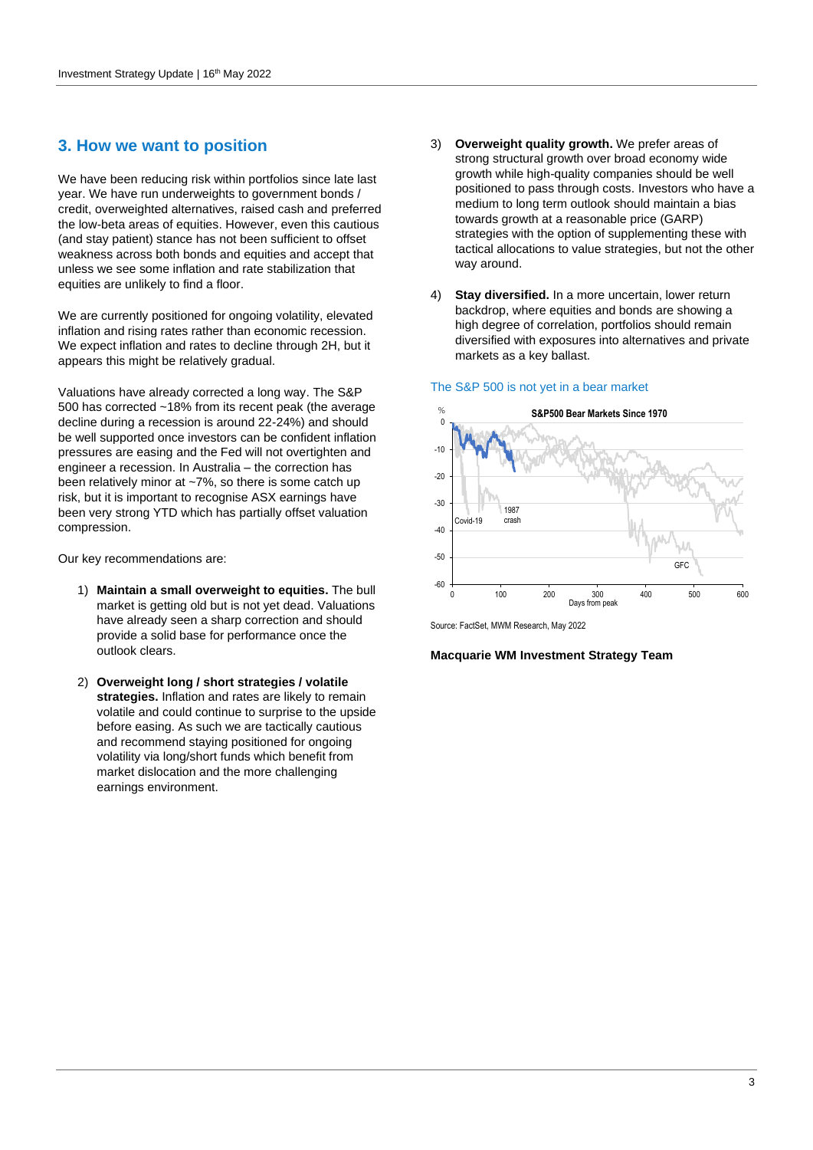## **3. How we want to position**

We have been reducing risk within portfolios since late last year. We have run underweights to government bonds / credit, overweighted alternatives, raised cash and preferred the low-beta areas of equities. However, even this cautious (and stay patient) stance has not been sufficient to offset weakness across both bonds and equities and accept that unless we see some inflation and rate stabilization that equities are unlikely to find a floor.

We are currently positioned for ongoing volatility, elevated inflation and rising rates rather than economic recession. We expect inflation and rates to decline through 2H, but it appears this might be relatively gradual.

Valuations have already corrected a long way. The S&P 500 has corrected ~18% from its recent peak (the average decline during a recession is around 22-24%) and should be well supported once investors can be confident inflation pressures are easing and the Fed will not overtighten and engineer a recession. In Australia – the correction has been relatively minor at ~7%, so there is some catch up risk, but it is important to recognise ASX earnings have been very strong YTD which has partially offset valuation compression.

Our key recommendations are:

- 1) **Maintain a small overweight to equities.** The bull market is getting old but is not yet dead. Valuations have already seen a sharp correction and should provide a solid base for performance once the outlook clears.
- 2) **Overweight long / short strategies / volatile strategies.** Inflation and rates are likely to remain volatile and could continue to surprise to the upside before easing. As such we are tactically cautious and recommend staying positioned for ongoing volatility via long/short funds which benefit from market dislocation and the more challenging earnings environment.
- 3) **Overweight quality growth.** We prefer areas of strong structural growth over broad economy wide growth while high-quality companies should be well positioned to pass through costs. Investors who have a medium to long term outlook should maintain a bias towards growth at a reasonable price (GARP) strategies with the option of supplementing these with tactical allocations to value strategies, but not the other way around.
- 4) **Stay diversified.** In a more uncertain, lower return backdrop, where equities and bonds are showing a high degree of correlation, portfolios should remain diversified with exposures into alternatives and private markets as a key ballast.







#### **Macquarie WM Investment Strategy Team**